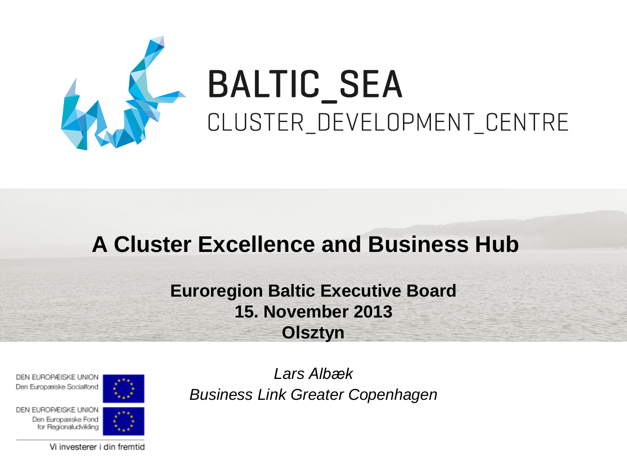

# **BALTIC\_SEA** CLUSTER\_DEVELOPMENT\_CENTRE

# **A Cluster Excellence and Business Hub**

### **Euroregion Baltic Executive Board 15. November 2013 Olsztyn**

DEN EUROPÆISKE UNION Den Europæiske Socialfond



*Lars Albæk Business Link Greater Copenhagen*

DEN EUROPÆISKE UNION Den Europæiske Fond for Regionaludvikling

Vi investerer i din fremtid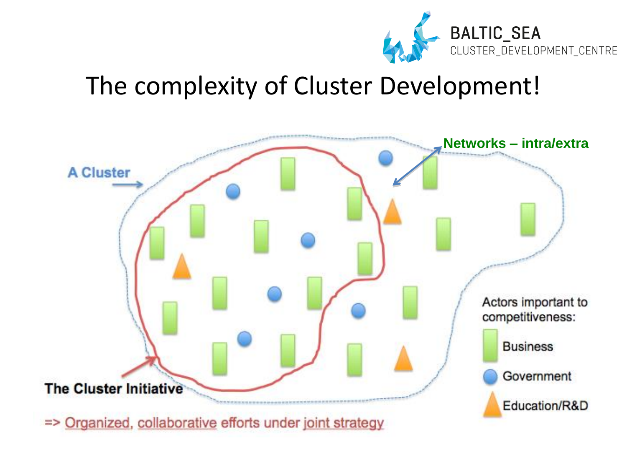

# The complexity of Cluster Development!

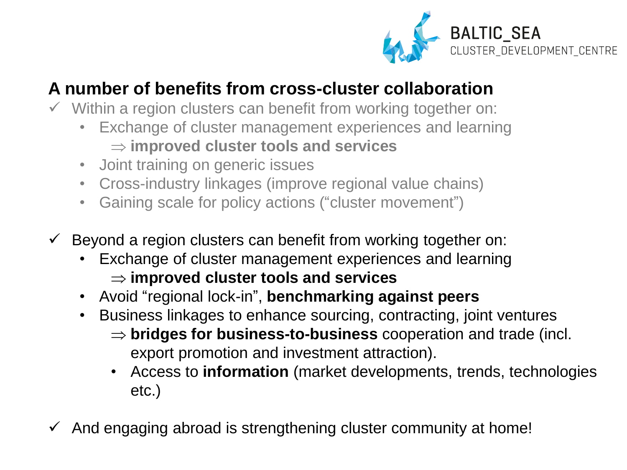

### **A number of benefits from cross-cluster collaboration**

- $\checkmark$  Within a region clusters can benefit from working together on:
	- Exchange of cluster management experiences and learning **improved cluster tools and services**
	- Joint training on generic issues
	- Cross-industry linkages (improve regional value chains)
	- Gaining scale for policy actions ("cluster movement")
- $\checkmark$  Beyond a region clusters can benefit from working together on:
	- Exchange of cluster management experiences and learning **improved cluster tools and services**
	- Avoid "regional lock-in", **benchmarking against peers**
	- Business linkages to enhance sourcing, contracting, joint ventures
		- $\Rightarrow$  **bridges for business-to-business** cooperation and trade (incl. export promotion and investment attraction).
		- Access to **information** (market developments, trends, technologies etc.)
- $\checkmark$  And engaging abroad is strengthening cluster community at home!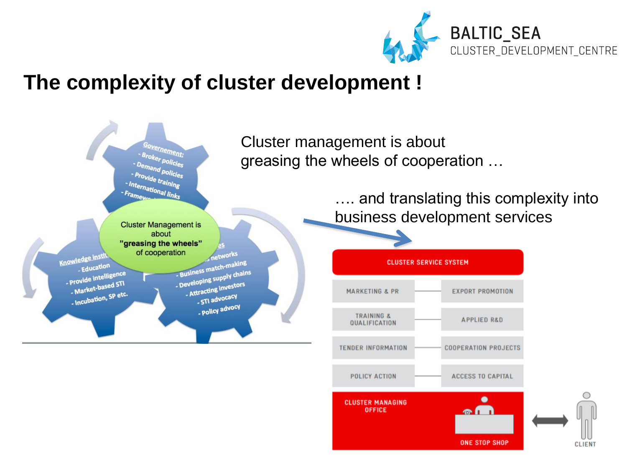

### The complexity of cluster development !

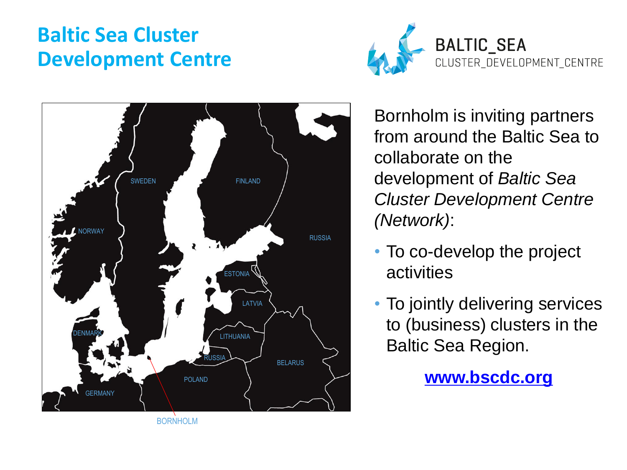# **Baltic Sea Cluster Development Centre**





Bornholm is inviting partners from around the Baltic Sea to collaborate on the development of *Baltic Sea Cluster Development Centre (Network)*:

- To co-develop the project activities
- To jointly delivering services to (business) clusters in the Baltic Sea Region.

**[www.bscdc.org](http://www.bscdc.org/)**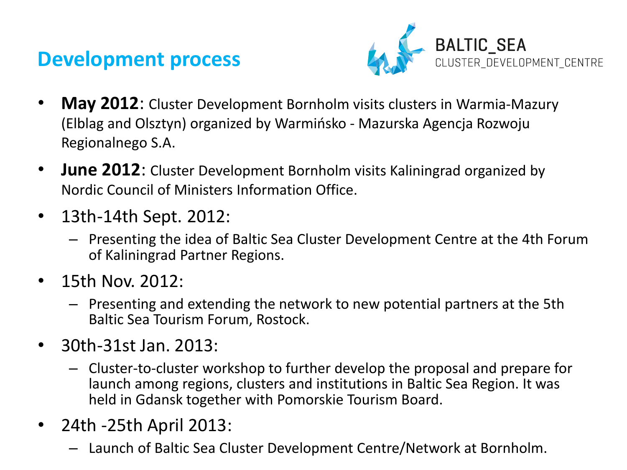### **Development process**



- **May 2012**: Cluster Development Bornholm visits clusters in Warmia-Mazury (Elblag and Olsztyn) organized by Warmińsko - Mazurska Agencja Rozwoju Regionalnego S.A.
- **June 2012**: Cluster Development Bornholm visits Kaliningrad organized by Nordic Council of Ministers Information Office.
- 13th-14th Sept. 2012:
	- Presenting the idea of Baltic Sea Cluster Development Centre at the 4th Forum of Kaliningrad Partner Regions.
- 15th Nov. 2012:
	- Presenting and extending the network to new potential partners at the 5th Baltic Sea Tourism Forum, Rostock.
- 30th-31st Jan. 2013:
	- Cluster-to-cluster workshop to further develop the proposal and prepare for launch among regions, clusters and institutions in Baltic Sea Region. It was held in Gdansk together with Pomorskie Tourism Board.
- 24th -25th April 2013:
	- Launch of Baltic Sea Cluster Development Centre/Network at Bornholm.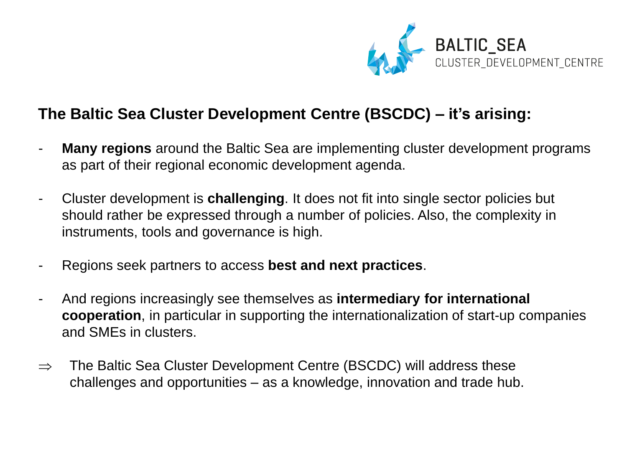

### **The Baltic Sea Cluster Development Centre (BSCDC) – it's arising:**

- **Many regions** around the Baltic Sea are implementing cluster development programs as part of their regional economic development agenda.
- Cluster development is **challenging**. It does not fit into single sector policies but should rather be expressed through a number of policies. Also, the complexity in instruments, tools and governance is high.
- Regions seek partners to access **best and next practices**.
- And regions increasingly see themselves as **intermediary for international cooperation**, in particular in supporting the internationalization of start-up companies and SMEs in clusters.
- $\Rightarrow$  The Baltic Sea Cluster Development Centre (BSCDC) will address these challenges and opportunities – as a knowledge, innovation and trade hub.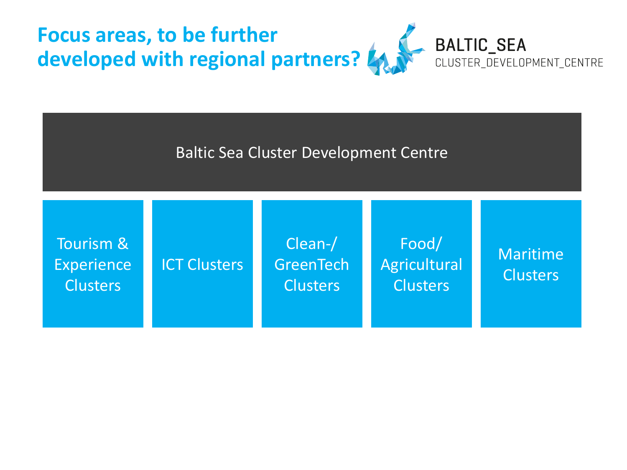

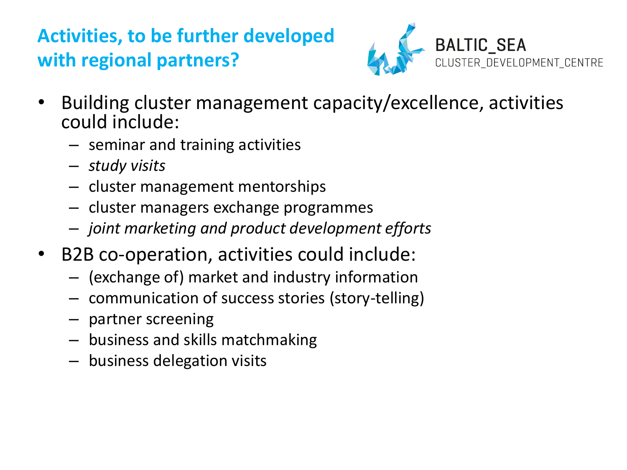# **Activities, to be further developed with regional partners?**



- Building cluster management capacity/excellence, activities could include:
	- seminar and training activities
	- *study visits*
	- cluster management mentorships
	- cluster managers exchange programmes
	- *joint marketing and product development efforts*
- B2B co-operation, activities could include:
	- (exchange of) market and industry information
	- communication of success stories (story-telling)
	- partner screening
	- business and skills matchmaking
	- business delegation visits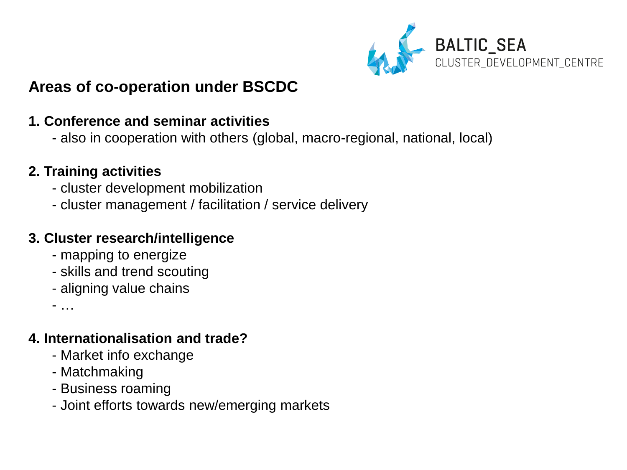

### **Areas of co-operation under BSCDC**

#### **1. Conference and seminar activities**

- also in cooperation with others (global, macro-regional, national, local)

#### **2. Training activities**

- cluster development mobilization
- cluster management / facilitation / service delivery

#### **3. Cluster research/intelligence**

- mapping to energize
- skills and trend scouting
- aligning value chains

- …

#### **4. Internationalisation and trade?**

- Market info exchange
- Matchmaking
- Business roaming
- Joint efforts towards new/emerging markets